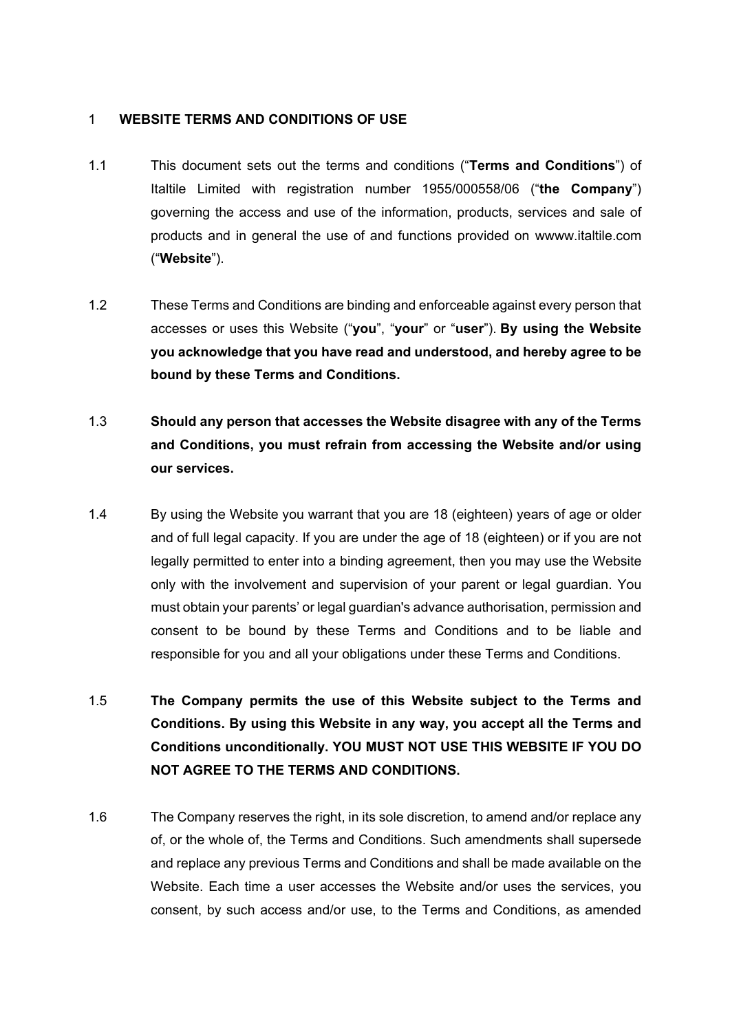### 1 **WEBSITE TERMS AND CONDITIONS OF USE**

- 1.1 This document sets out the terms and conditions ("**Terms and Conditions**") of Italtile Limited with registration number 1955/000558/06 ("**the Company**") governing the access and use of the information, products, services and sale of products and in general the use of and functions provided on wwww.italtile.com ("**Website**").
- 1.2 These Terms and Conditions are binding and enforceable against every person that accesses or uses this Website ("**you**", "**your**" or "**user**"). **By using the Website you acknowledge that you have read and understood, and hereby agree to be bound by these Terms and Conditions.**
- 1.3 **Should any person that accesses the Website disagree with any of the Terms and Conditions, you must refrain from accessing the Website and/or using our services.**
- 1.4 By using the Website you warrant that you are 18 (eighteen) years of age or older and of full legal capacity. If you are under the age of 18 (eighteen) or if you are not legally permitted to enter into a binding agreement, then you may use the Website only with the involvement and supervision of your parent or legal guardian. You must obtain your parents' or legal guardian's advance authorisation, permission and consent to be bound by these Terms and Conditions and to be liable and responsible for you and all your obligations under these Terms and Conditions.
- 1.5 **The Company permits the use of this Website subject to the Terms and Conditions. By using this Website in any way, you accept all the Terms and Conditions unconditionally. YOU MUST NOT USE THIS WEBSITE IF YOU DO NOT AGREE TO THE TERMS AND CONDITIONS.**
- 1.6 The Company reserves the right, in its sole discretion, to amend and/or replace any of, or the whole of, the Terms and Conditions. Such amendments shall supersede and replace any previous Terms and Conditions and shall be made available on the Website. Each time a user accesses the Website and/or uses the services, you consent, by such access and/or use, to the Terms and Conditions, as amended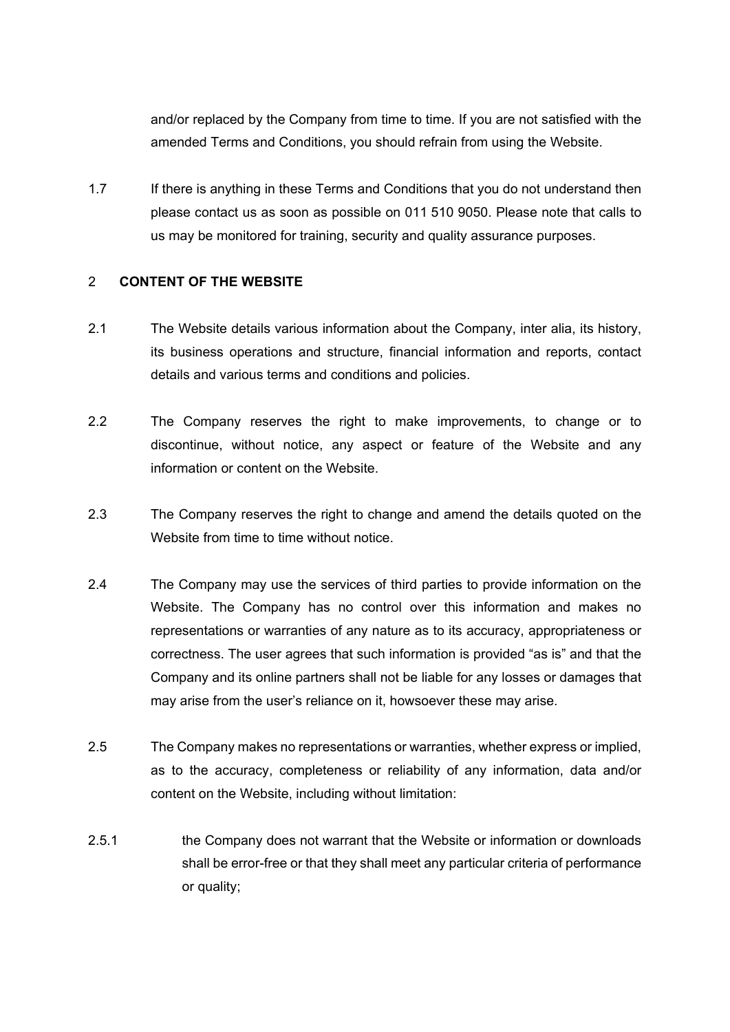and/or replaced by the Company from time to time. If you are not satisfied with the amended Terms and Conditions, you should refrain from using the Website.

1.7 If there is anything in these Terms and Conditions that you do not understand then please contact us as soon as possible on 011 510 9050. Please note that calls to us may be monitored for training, security and quality assurance purposes.

## 2 **CONTENT OF THE WEBSITE**

- 2.1 The Website details various information about the Company, inter alia, its history, its business operations and structure, financial information and reports, contact details and various terms and conditions and policies.
- 2.2 The Company reserves the right to make improvements, to change or to discontinue, without notice, any aspect or feature of the Website and any information or content on the Website.
- 2.3 The Company reserves the right to change and amend the details quoted on the Website from time to time without notice.
- 2.4 The Company may use the services of third parties to provide information on the Website. The Company has no control over this information and makes no representations or warranties of any nature as to its accuracy, appropriateness or correctness. The user agrees that such information is provided "as is" and that the Company and its online partners shall not be liable for any losses or damages that may arise from the user's reliance on it, howsoever these may arise.
- 2.5 The Company makes no representations or warranties, whether express or implied, as to the accuracy, completeness or reliability of any information, data and/or content on the Website, including without limitation:
- 2.5.1 the Company does not warrant that the Website or information or downloads shall be error-free or that they shall meet any particular criteria of performance or quality;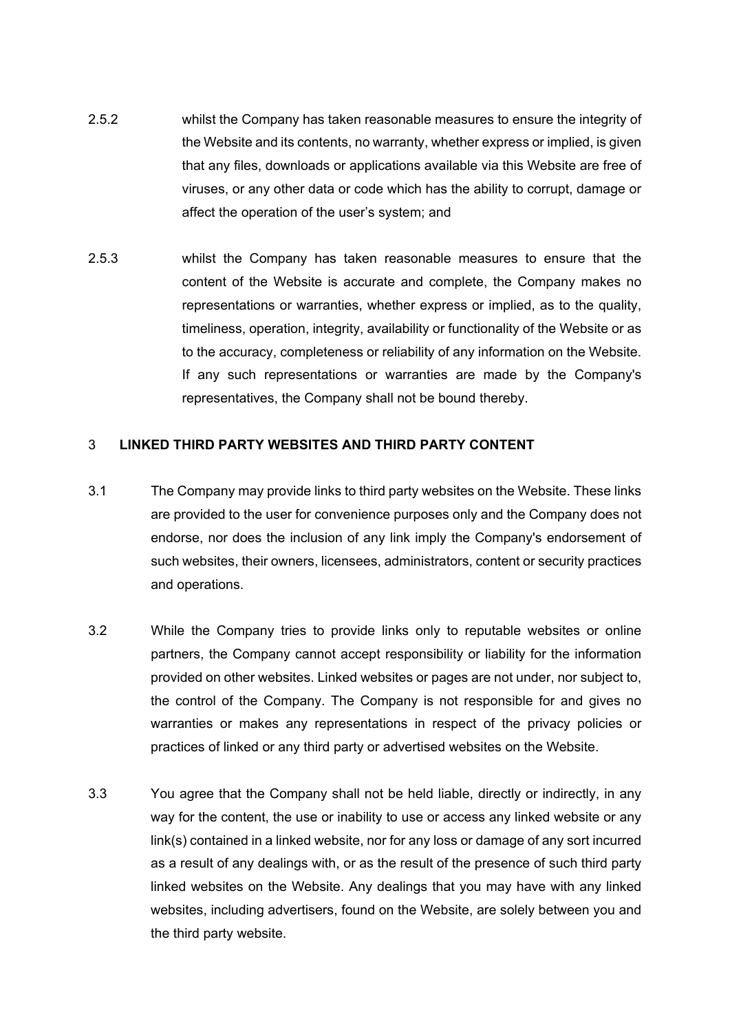- 2.5.2 whilst the Company has taken reasonable measures to ensure the integrity of the Website and its contents, no warranty, whether express or implied, is given that any files, downloads or applications available via this Website are free of viruses, or any other data or code which has the ability to corrupt, damage or affect the operation of the user's system; and
- 2.5.3 whilst the Company has taken reasonable measures to ensure that the content of the Website is accurate and complete, the Company makes no representations or warranties, whether express or implied, as to the quality, timeliness, operation, integrity, availability or functionality of the Website or as to the accuracy, completeness or reliability of any information on the Website. If any such representations or warranties are made by the Company's representatives, the Company shall not be bound thereby.

#### 3 **LINKED THIRD PARTY WEBSITES AND THIRD PARTY CONTENT**

- 3.1 The Company may provide links to third party websites on the Website. These links are provided to the user for convenience purposes only and the Company does not endorse, nor does the inclusion of any link imply the Company's endorsement of such websites, their owners, licensees, administrators, content or security practices and operations.
- 3.2 While the Company tries to provide links only to reputable websites or online partners, the Company cannot accept responsibility or liability for the information provided on other websites. Linked websites or pages are not under, nor subject to, the control of the Company. The Company is not responsible for and gives no warranties or makes any representations in respect of the privacy policies or practices of linked or any third party or advertised websites on the Website.
- 3.3 You agree that the Company shall not be held liable, directly or indirectly, in any way for the content, the use or inability to use or access any linked website or any link(s) contained in a linked website, nor for any loss or damage of any sort incurred as a result of any dealings with, or as the result of the presence of such third party linked websites on the Website. Any dealings that you may have with any linked websites, including advertisers, found on the Website, are solely between you and the third party website.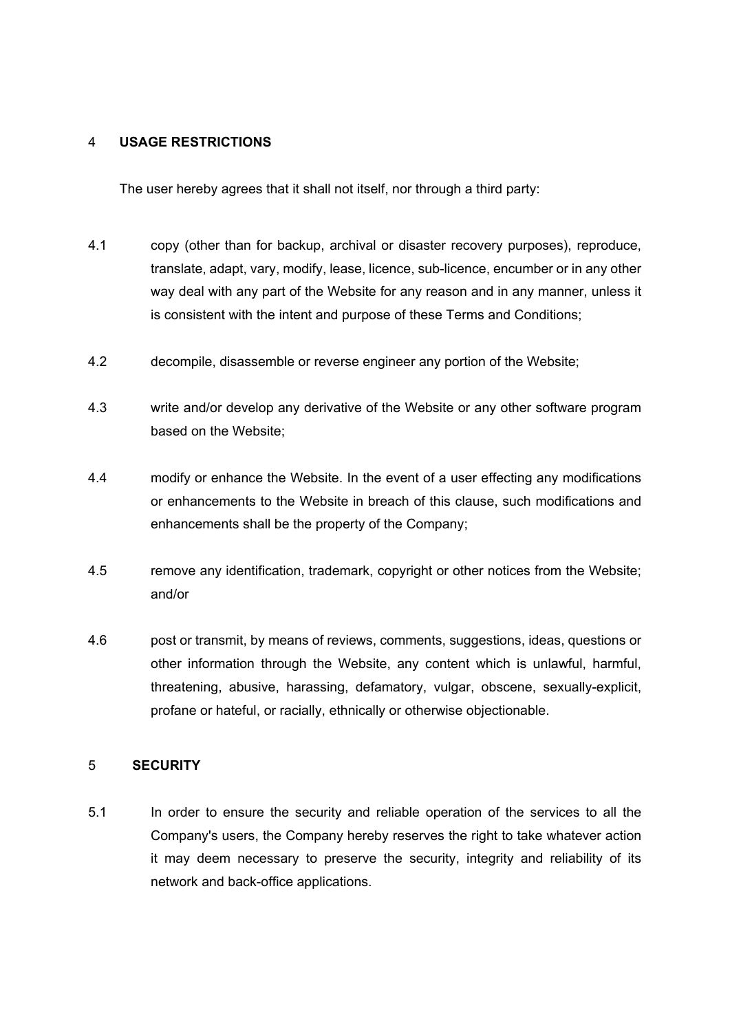### 4 **USAGE RESTRICTIONS**

The user hereby agrees that it shall not itself, nor through a third party:

- 4.1 copy (other than for backup, archival or disaster recovery purposes), reproduce, translate, adapt, vary, modify, lease, licence, sub-licence, encumber or in any other way deal with any part of the Website for any reason and in any manner, unless it is consistent with the intent and purpose of these Terms and Conditions;
- 4.2 decompile, disassemble or reverse engineer any portion of the Website;
- 4.3 write and/or develop any derivative of the Website or any other software program based on the Website;
- 4.4 modify or enhance the Website. In the event of a user effecting any modifications or enhancements to the Website in breach of this clause, such modifications and enhancements shall be the property of the Company;
- 4.5 remove any identification, trademark, copyright or other notices from the Website; and/or
- 4.6 post or transmit, by means of reviews, comments, suggestions, ideas, questions or other information through the Website, any content which is unlawful, harmful, threatening, abusive, harassing, defamatory, vulgar, obscene, sexually-explicit, profane or hateful, or racially, ethnically or otherwise objectionable.

## 5 **SECURITY**

5.1 In order to ensure the security and reliable operation of the services to all the Company's users, the Company hereby reserves the right to take whatever action it may deem necessary to preserve the security, integrity and reliability of its network and back-office applications.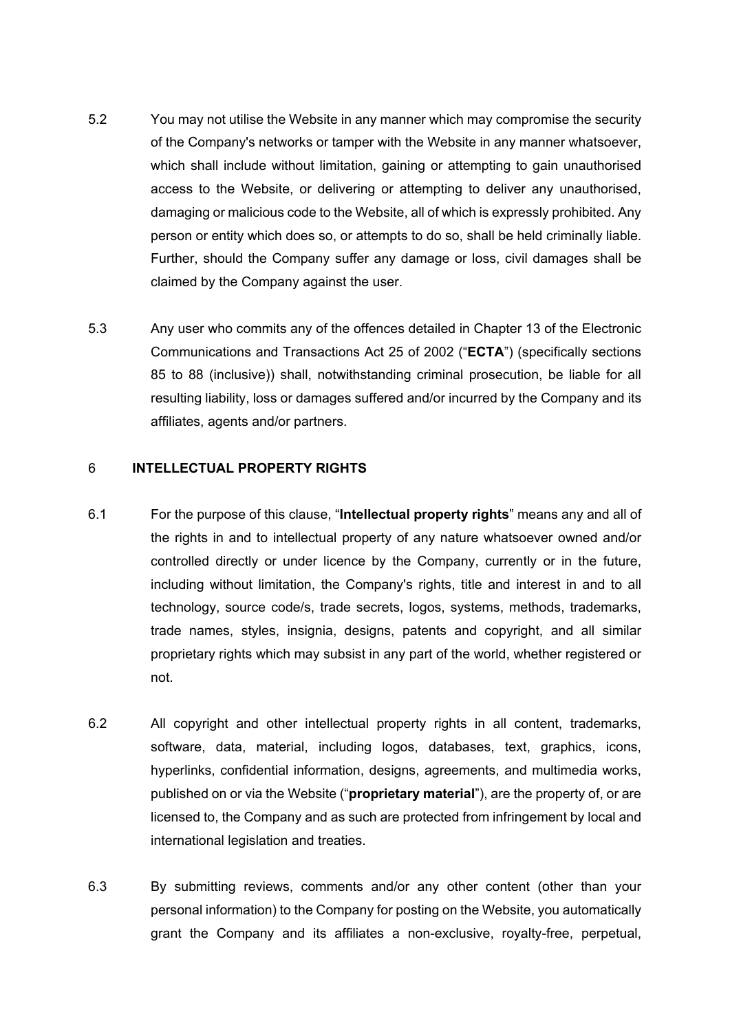- 5.2 You may not utilise the Website in any manner which may compromise the security of the Company's networks or tamper with the Website in any manner whatsoever, which shall include without limitation, gaining or attempting to gain unauthorised access to the Website, or delivering or attempting to deliver any unauthorised, damaging or malicious code to the Website, all of which is expressly prohibited. Any person or entity which does so, or attempts to do so, shall be held criminally liable. Further, should the Company suffer any damage or loss, civil damages shall be claimed by the Company against the user.
- 5.3 Any user who commits any of the offences detailed in Chapter 13 of the Electronic Communications and Transactions Act 25 of 2002 ("**ECTA**") (specifically sections 85 to 88 (inclusive)) shall, notwithstanding criminal prosecution, be liable for all resulting liability, loss or damages suffered and/or incurred by the Company and its affiliates, agents and/or partners.

## 6 **INTELLECTUAL PROPERTY RIGHTS**

- 6.1 For the purpose of this clause, "**Intellectual property rights**" means any and all of the rights in and to intellectual property of any nature whatsoever owned and/or controlled directly or under licence by the Company, currently or in the future, including without limitation, the Company's rights, title and interest in and to all technology, source code/s, trade secrets, logos, systems, methods, trademarks, trade names, styles, insignia, designs, patents and copyright, and all similar proprietary rights which may subsist in any part of the world, whether registered or not.
- 6.2 All copyright and other intellectual property rights in all content, trademarks, software, data, material, including logos, databases, text, graphics, icons, hyperlinks, confidential information, designs, agreements, and multimedia works, published on or via the Website ("**proprietary material**"), are the property of, or are licensed to, the Company and as such are protected from infringement by local and international legislation and treaties.
- 6.3 By submitting reviews, comments and/or any other content (other than your personal information) to the Company for posting on the Website, you automatically grant the Company and its affiliates a non-exclusive, royalty-free, perpetual,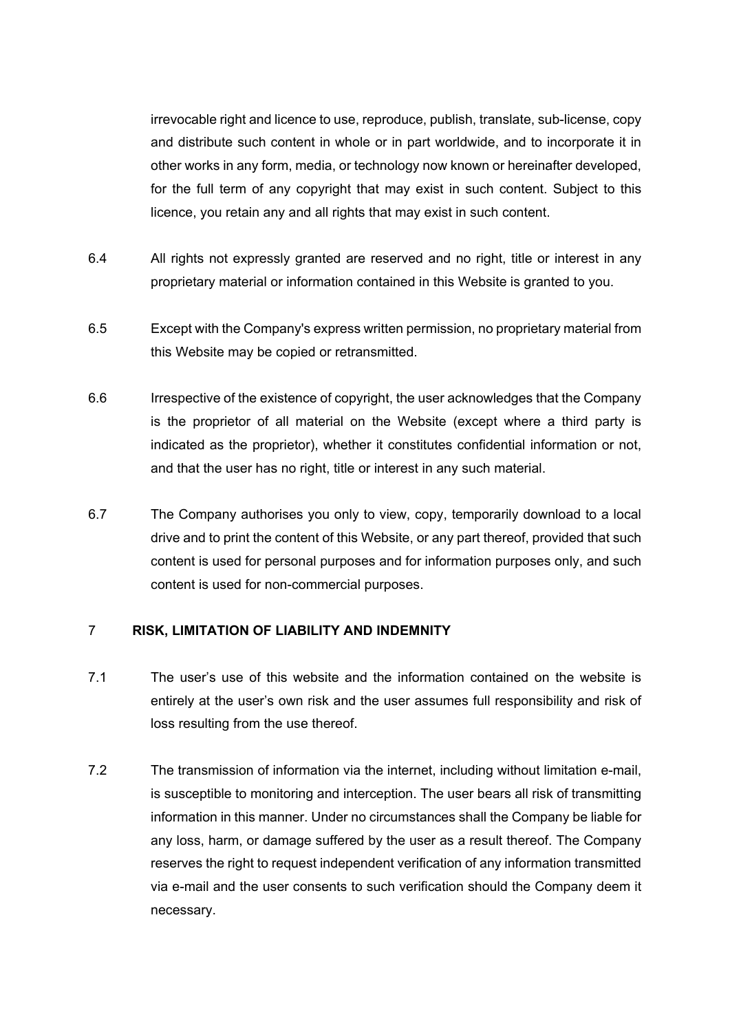irrevocable right and licence to use, reproduce, publish, translate, sub-license, copy and distribute such content in whole or in part worldwide, and to incorporate it in other works in any form, media, or technology now known or hereinafter developed, for the full term of any copyright that may exist in such content. Subject to this licence, you retain any and all rights that may exist in such content.

- 6.4 All rights not expressly granted are reserved and no right, title or interest in any proprietary material or information contained in this Website is granted to you.
- 6.5 Except with the Company's express written permission, no proprietary material from this Website may be copied or retransmitted.
- 6.6 Irrespective of the existence of copyright, the user acknowledges that the Company is the proprietor of all material on the Website (except where a third party is indicated as the proprietor), whether it constitutes confidential information or not, and that the user has no right, title or interest in any such material.
- 6.7 The Company authorises you only to view, copy, temporarily download to a local drive and to print the content of this Website, or any part thereof, provided that such content is used for personal purposes and for information purposes only, and such content is used for non-commercial purposes.

## 7 **RISK, LIMITATION OF LIABILITY AND INDEMNITY**

- 7.1 The user's use of this website and the information contained on the website is entirely at the user's own risk and the user assumes full responsibility and risk of loss resulting from the use thereof.
- 7.2 The transmission of information via the internet, including without limitation e-mail, is susceptible to monitoring and interception. The user bears all risk of transmitting information in this manner. Under no circumstances shall the Company be liable for any loss, harm, or damage suffered by the user as a result thereof. The Company reserves the right to request independent verification of any information transmitted via e-mail and the user consents to such verification should the Company deem it necessary.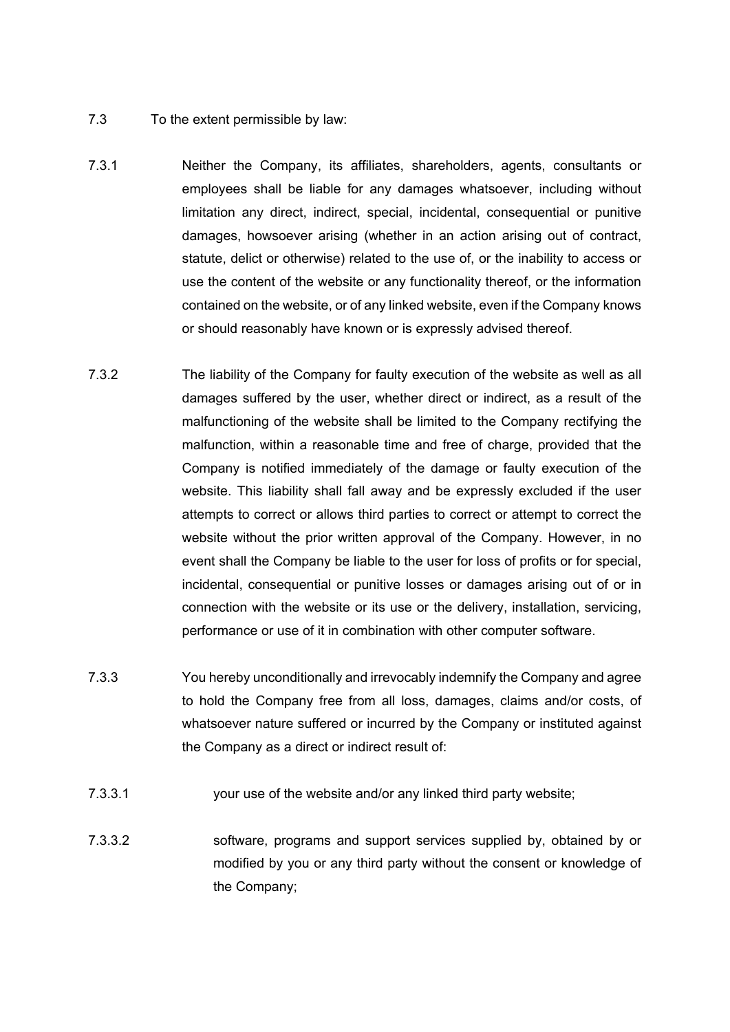- 7.3 To the extent permissible by law:
- 7.3.1 Neither the Company, its affiliates, shareholders, agents, consultants or employees shall be liable for any damages whatsoever, including without limitation any direct, indirect, special, incidental, consequential or punitive damages, howsoever arising (whether in an action arising out of contract, statute, delict or otherwise) related to the use of, or the inability to access or use the content of the website or any functionality thereof, or the information contained on the website, or of any linked website, even if the Company knows or should reasonably have known or is expressly advised thereof.
- 7.3.2 The liability of the Company for faulty execution of the website as well as all damages suffered by the user, whether direct or indirect, as a result of the malfunctioning of the website shall be limited to the Company rectifying the malfunction, within a reasonable time and free of charge, provided that the Company is notified immediately of the damage or faulty execution of the website. This liability shall fall away and be expressly excluded if the user attempts to correct or allows third parties to correct or attempt to correct the website without the prior written approval of the Company. However, in no event shall the Company be liable to the user for loss of profits or for special, incidental, consequential or punitive losses or damages arising out of or in connection with the website or its use or the delivery, installation, servicing, performance or use of it in combination with other computer software.
- 7.3.3 You hereby unconditionally and irrevocably indemnify the Company and agree to hold the Company free from all loss, damages, claims and/or costs, of whatsoever nature suffered or incurred by the Company or instituted against the Company as a direct or indirect result of:
- 7.3.3.1 your use of the website and/or any linked third party website;
- 7.3.3.2 software, programs and support services supplied by, obtained by or modified by you or any third party without the consent or knowledge of the Company;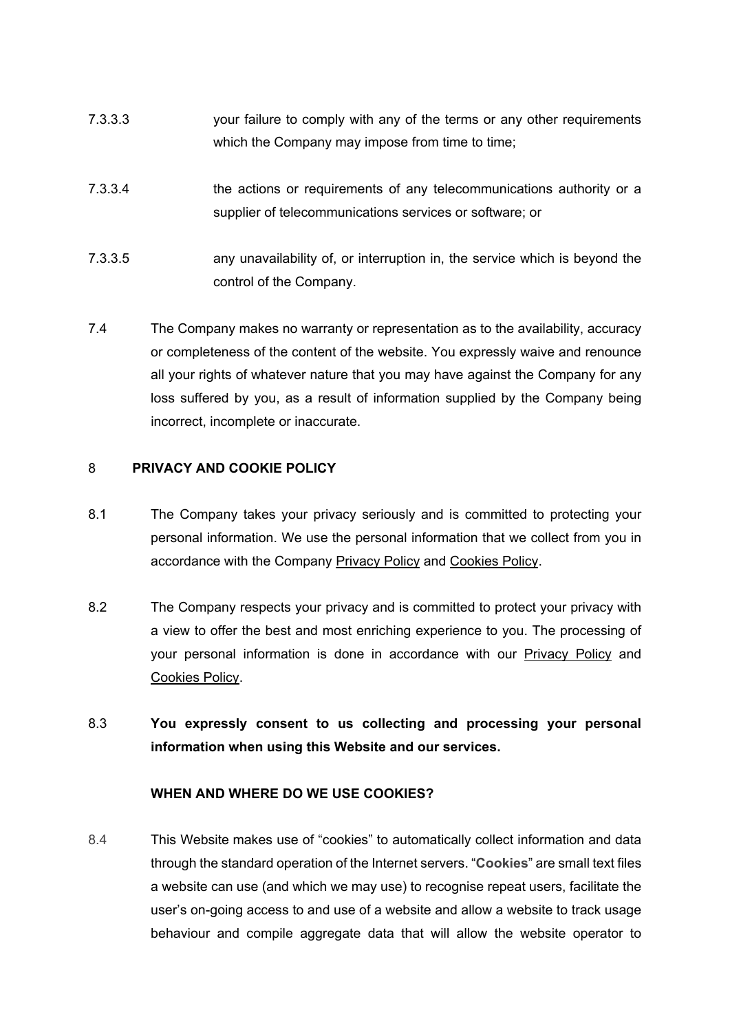- 7.3.3.3 your failure to comply with any of the terms or any other requirements which the Company may impose from time to time;
- 7.3.3.4 the actions or requirements of any telecommunications authority or a supplier of telecommunications services or software; or
- 7.3.3.5 any unavailability of, or interruption in, the service which is beyond the control of the Company.
- 7.4 The Company makes no warranty or representation as to the availability, accuracy or completeness of the content of the website. You expressly waive and renounce all your rights of whatever nature that you may have against the Company for any loss suffered by you, as a result of information supplied by the Company being incorrect, incomplete or inaccurate.

## <span id="page-7-0"></span>8 **PRIVACY AND COOKIE POLICY**

- 8.1 The Company takes your privacy seriously and is committed to protecting your personal information. We use the personal information that we collect from you in accordance with the Company Privacy Policy and Cookies Policy.
- 8.2 The Company respects your privacy and is committed to protect your privacy with a view to offer the best and most enriching experience to you. The processing of your personal information is done in accordance with our Privacy Policy and Cookies Policy.
- 8.3 **You expressly consent to us collecting and processing your personal information when using this Website and our services.**

## **WHEN AND WHERE DO WE USE COOKIES?**

8.4 This Website makes use of "cookies" to automatically collect information and data through the standard operation of the Internet servers. "**Cookies**" are small text files a website can use (and which we may use) to recognise repeat users, facilitate the user's on-going access to and use of a website and allow a website to track usage behaviour and compile aggregate data that will allow the website operator to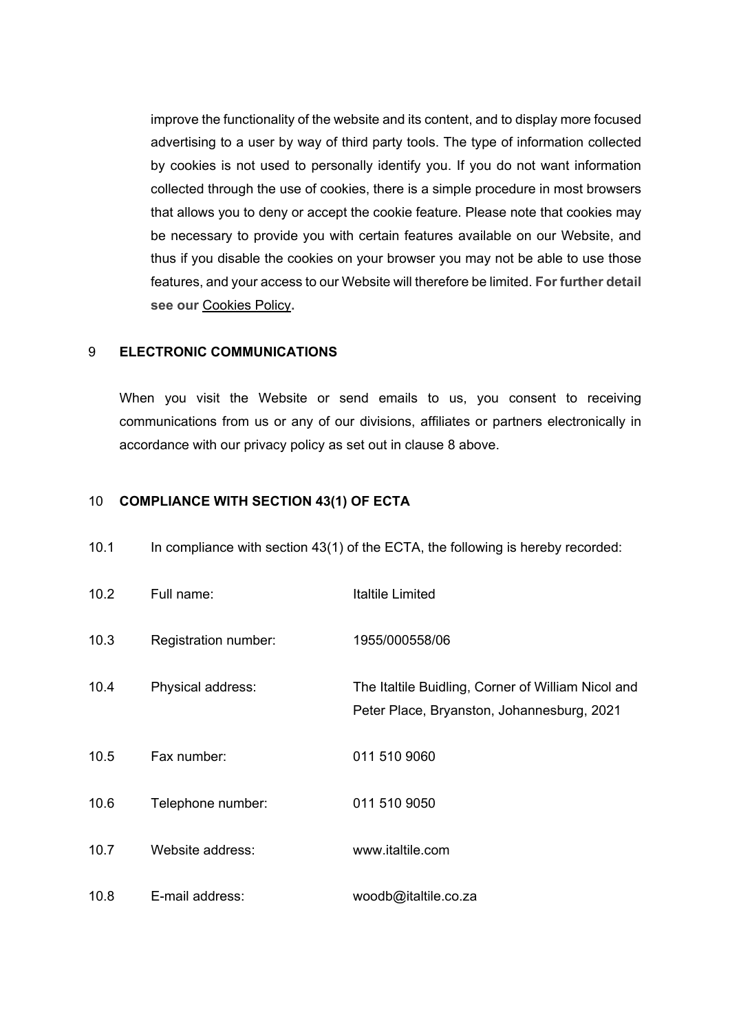improve the functionality of the website and its content, and to display more focused advertising to a user by way of third party tools. The type of information collected by cookies is not used to personally identify you. If you do not want information collected through the use of cookies, there is a simple procedure in most browsers that allows you to deny or accept the cookie feature. Please note that cookies may be necessary to provide you with certain features available on our Website, and thus if you disable the cookies on your browser you may not be able to use those features, and your access to our Website will therefore be limited. **For further detail see our** Cookies Policy**.**

#### 9 **ELECTRONIC COMMUNICATIONS**

When you visit the Website or send emails to us, you consent to receiving communications from us or any of our divisions, affiliates or partners electronically in accordance with our privacy policy as set out in clause [8](#page-7-0) above.

#### <span id="page-8-0"></span>10 **COMPLIANCE WITH SECTION 43(1) OF ECTA**

| 10.2 | Full name:           | <b>Italtile Limited</b>                                                                          |
|------|----------------------|--------------------------------------------------------------------------------------------------|
| 10.3 | Registration number: | 1955/000558/06                                                                                   |
| 10.4 | Physical address:    | The Italtile Buidling, Corner of William Nicol and<br>Peter Place, Bryanston, Johannesburg, 2021 |
| 10.5 | Fax number:          | 011 510 9060                                                                                     |
| 10.6 | Telephone number:    | 011 510 9050                                                                                     |
| 10.7 | Website address:     | www.italtile.com                                                                                 |
| 10.8 | E-mail address:      | woodb@italtile.co.za                                                                             |

10.1 In compliance with section 43(1) of the ECTA, the following is hereby recorded: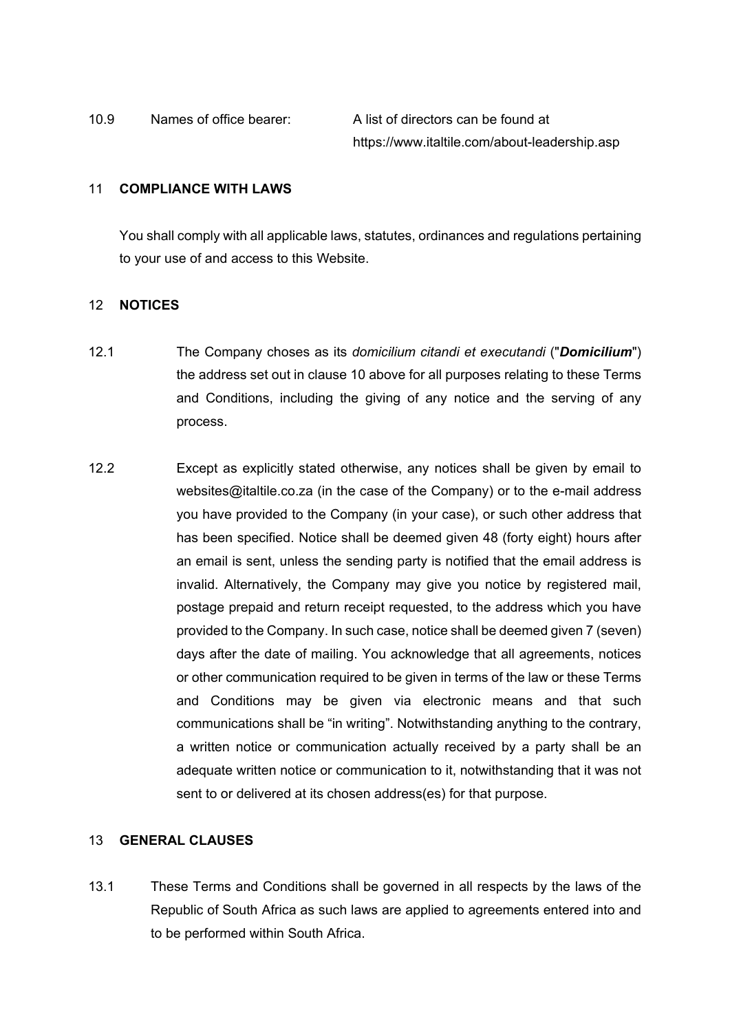#### 11 **COMPLIANCE WITH LAWS**

You shall comply with all applicable laws, statutes, ordinances and regulations pertaining to your use of and access to this Website.

## 12 **NOTICES**

- 12.1 The Company choses as its *domicilium citandi et executandi* ("*Domicilium*") the address set out in clause [10](#page-8-0) above for all purposes relating to these Terms and Conditions, including the giving of any notice and the serving of any process.
- 12.2 Except as explicitly stated otherwise, any notices shall be given by email to websites@italtile.co.za (in the case of the Company) or to the e-mail address you have provided to the Company (in your case), or such other address that has been specified. Notice shall be deemed given 48 (forty eight) hours after an email is sent, unless the sending party is notified that the email address is invalid. Alternatively, the Company may give you notice by registered mail, postage prepaid and return receipt requested, to the address which you have provided to the Company. In such case, notice shall be deemed given 7 (seven) days after the date of mailing. You acknowledge that all agreements, notices or other communication required to be given in terms of the law or these Terms and Conditions may be given via electronic means and that such communications shall be "in writing". Notwithstanding anything to the contrary, a written notice or communication actually received by a party shall be an adequate written notice or communication to it, notwithstanding that it was not sent to or delivered at its chosen address(es) for that purpose.

# 13 **GENERAL CLAUSES**

13.1 These Terms and Conditions shall be governed in all respects by the laws of the Republic of South Africa as such laws are applied to agreements entered into and to be performed within South Africa.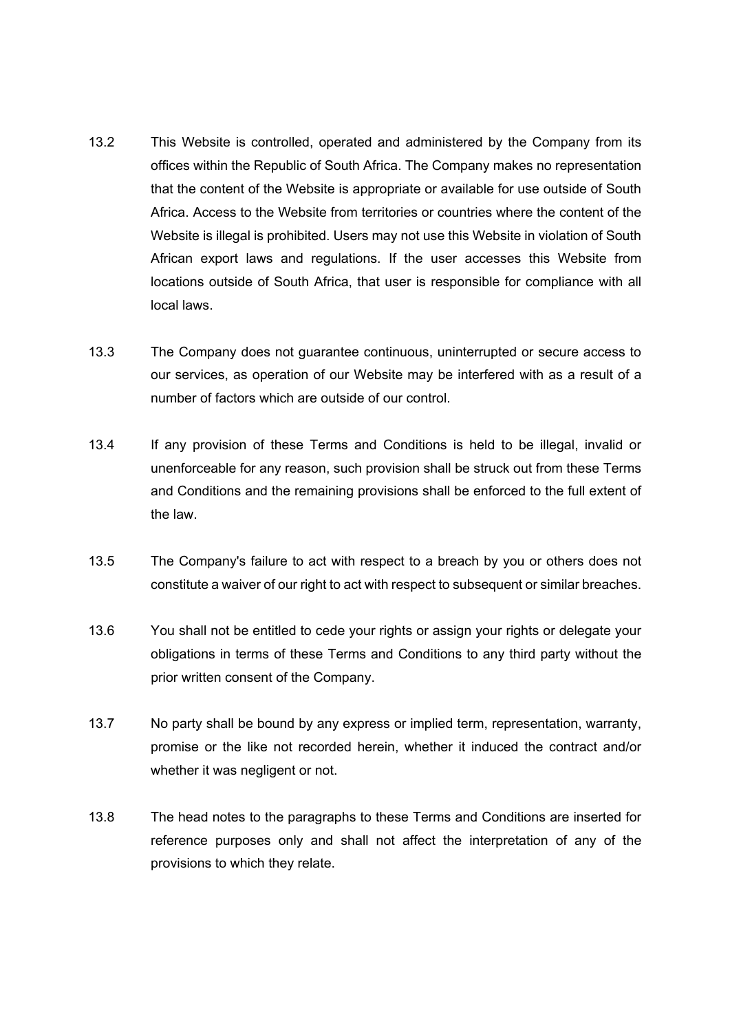- 13.2 This Website is controlled, operated and administered by the Company from its offices within the Republic of South Africa. The Company makes no representation that the content of the Website is appropriate or available for use outside of South Africa. Access to the Website from territories or countries where the content of the Website is illegal is prohibited. Users may not use this Website in violation of South African export laws and regulations. If the user accesses this Website from locations outside of South Africa, that user is responsible for compliance with all local laws.
- 13.3 The Company does not guarantee continuous, uninterrupted or secure access to our services, as operation of our Website may be interfered with as a result of a number of factors which are outside of our control.
- 13.4 If any provision of these Terms and Conditions is held to be illegal, invalid or unenforceable for any reason, such provision shall be struck out from these Terms and Conditions and the remaining provisions shall be enforced to the full extent of the law.
- 13.5 The Company's failure to act with respect to a breach by you or others does not constitute a waiver of our right to act with respect to subsequent or similar breaches.
- 13.6 You shall not be entitled to cede your rights or assign your rights or delegate your obligations in terms of these Terms and Conditions to any third party without the prior written consent of the Company.
- 13.7 No party shall be bound by any express or implied term, representation, warranty, promise or the like not recorded herein, whether it induced the contract and/or whether it was negligent or not.
- 13.8 The head notes to the paragraphs to these Terms and Conditions are inserted for reference purposes only and shall not affect the interpretation of any of the provisions to which they relate.